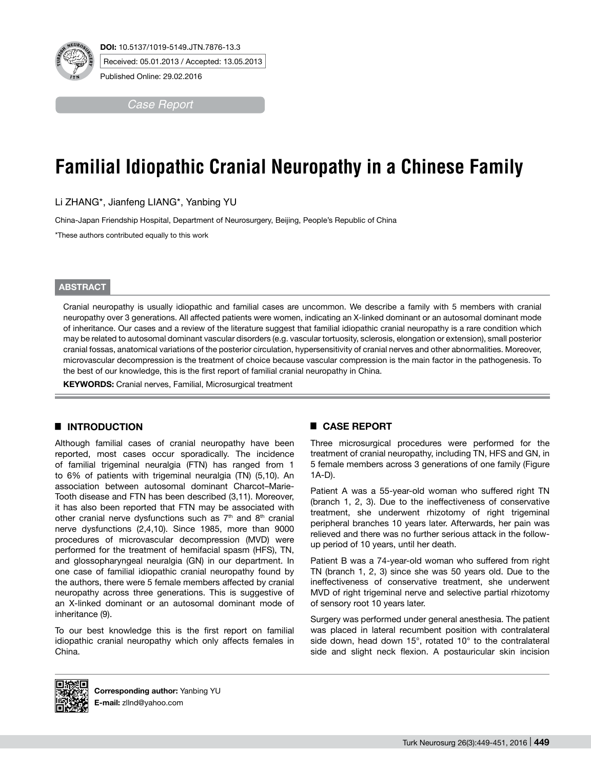*Case Report*

# **Familial Idiopathic Cranial Neuropathy in a Chinese Family**

Li ZHANG\*, Jianfeng LIANG\*, Yanbing YU

China-Japan Friendship Hospital, Department of Neurosurgery, Beijing, People's Republic of China

\*These authors contributed equally to this work

#### **ABSTRACT**

Cranial neuropathy is usually idiopathic and familial cases are uncommon. We describe a family with 5 members with cranial neuropathy over 3 generations. All affected patients were women, indicating an X-linked dominant or an autosomal dominant mode of inheritance. Our cases and a review of the literature suggest that familial idiopathic cranial neuropathy is a rare condition which may be related to autosomal dominant vascular disorders (e.g. vascular tortuosity, sclerosis, elongation or extension), small posterior cranial fossas, anatomical variations of the posterior circulation, hypersensitivity of cranial nerves and other abnormalities. Moreover, microvascular decompression is the treatment of choice because vascular compression is the main factor in the pathogenesis. To the best of our knowledge, this is the first report of familial cranial neuropathy in China.

**KEYWORDS:** Cranial nerves, Familial, Microsurgical treatment

## █ **INTRODUCTION**

Although familial cases of cranial neuropathy have been reported, most cases occur sporadically. The incidence of familial trigeminal neuralgia (FTN) has ranged from 1 to 6% of patients with trigeminal neuralgia (TN) (5,10). An association between autosomal dominant Charcot–Marie-Tooth disease and FTN has been described (3,11). Moreover, it has also been reported that FTN may be associated with other cranial nerve dysfunctions such as  $7<sup>th</sup>$  and  $8<sup>th</sup>$  cranial nerve dysfunctions (2,4,10). Since 1985, more than 9000 procedures of microvascular decompression (MVD) were performed for the treatment of hemifacial spasm (HFS), TN, and glossopharyngeal neuralgia (GN) in our department. In one case of familial idiopathic cranial neuropathy found by the authors, there were 5 female members affected by cranial neuropathy across three generations. This is suggestive of an X-linked dominant or an autosomal dominant mode of inheritance (9).

To our best knowledge this is the first report on familial idiopathic cranial neuropathy which only affects females in China.

## █ **CASE REPORT**

Three microsurgical procedures were performed for the treatment of cranial neuropathy, including TN, HFS and GN, in 5 female members across 3 generations of one family (Figure 1A-D).

Patient A was a 55-year-old woman who suffered right TN (branch 1, 2, 3). Due to the ineffectiveness of conservative treatment, she underwent rhizotomy of right trigeminal peripheral branches 10 years later. Afterwards, her pain was relieved and there was no further serious attack in the followup period of 10 years, until her death.

Patient B was a 74-year-old woman who suffered from right TN (branch 1, 2, 3) since she was 50 years old. Due to the ineffectiveness of conservative treatment, she underwent MVD of right trigeminal nerve and selective partial rhizotomy of sensory root 10 years later.

Surgery was performed under general anesthesia. The patient was placed in lateral recumbent position with contralateral side down, head down 15°, rotated 10° to the contralateral side and slight neck flexion. A postauricular skin incision



**Corresponding author:** Yanbing YU **E-mail:** zllnd@yahoo.com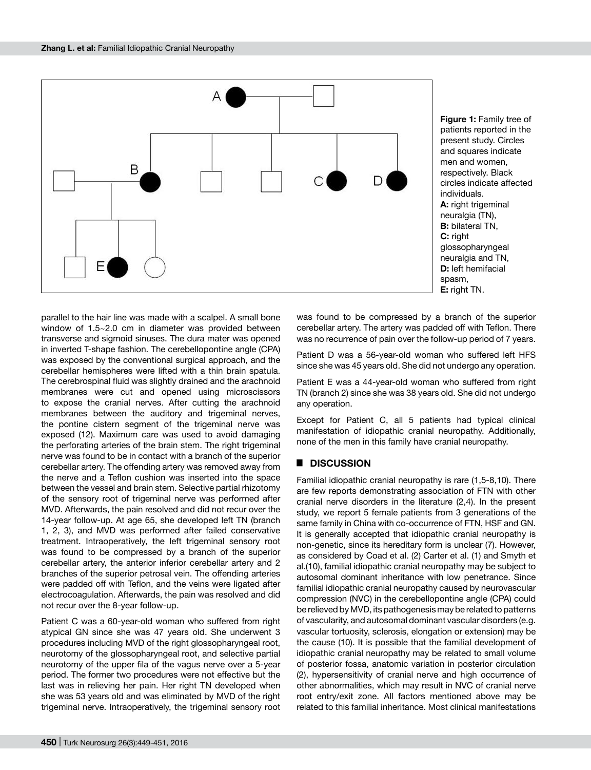

**Figure 1:** Family tree of patients reported in the present study. Circles and squares indicate men and women, respectively. Black circles indicate affected individuals. **A:** right trigeminal neuralgia (TN), **B:** bilateral TN, **C:** right glossopharyngeal neuralgia and TN, **D:** left hemifacial spasm, **E:** right TN.

parallel to the hair line was made with a scalpel. A small bone window of 1.5~2.0 cm in diameter was provided between transverse and sigmoid sinuses. The dura mater was opened in inverted T-shape fashion. The cerebellopontine angle (CPA) was exposed by the conventional surgical approach, and the cerebellar hemispheres were lifted with a thin brain spatula. The cerebrospinal fluid was slightly drained and the arachnoid membranes were cut and opened using microscissors to expose the cranial nerves. After cutting the arachnoid membranes between the auditory and trigeminal nerves, the pontine cistern segment of the trigeminal nerve was exposed (12). Maximum care was used to avoid damaging the perforating arteries of the brain stem. The right trigeminal nerve was found to be in contact with a branch of the superior cerebellar artery. The offending artery was removed away from the nerve and a Teflon cushion was inserted into the space between the vessel and brain stem. Selective partial rhizotomy of the sensory root of trigeminal nerve was performed after MVD. Afterwards, the pain resolved and did not recur over the 14-year follow-up. At age 65, she developed left TN (branch 1, 2, 3), and MVD was performed after failed conservative treatment. Intraoperatively, the left trigeminal sensory root was found to be compressed by a branch of the superior cerebellar artery, the anterior inferior cerebellar artery and 2 branches of the superior petrosal vein. The offending arteries were padded off with Teflon, and the veins were ligated after electrocoagulation. Afterwards, the pain was resolved and did not recur over the 8-year follow-up.

Patient C was a 60-year-old woman who suffered from right atypical GN since she was 47 years old. She underwent 3 procedures including MVD of the right glossopharyngeal root, neurotomy of the glossopharyngeal root, and selective partial neurotomy of the upper fila of the vagus nerve over a 5-year period. The former two procedures were not effective but the last was in relieving her pain. Her right TN developed when she was 53 years old and was eliminated by MVD of the right trigeminal nerve. Intraoperatively, the trigeminal sensory root was found to be compressed by a branch of the superior cerebellar artery. The artery was padded off with Teflon. There was no recurrence of pain over the follow-up period of 7 years.

Patient D was a 56-year-old woman who suffered left HFS since she was 45 years old. She did not undergo any operation.

Patient E was a 44-year-old woman who suffered from right TN (branch 2) since she was 38 years old. She did not undergo any operation.

Except for Patient C, all 5 patients had typical clinical manifestation of idiopathic cranial neuropathy. Additionally, none of the men in this family have cranial neuropathy.

## █ **DISCUSSION**

Familial idiopathic cranial neuropathy is rare (1,5-8,10). There are few reports demonstrating association of FTN with other cranial nerve disorders in the literature (2,4). In the present study, we report 5 female patients from 3 generations of the same family in China with co-occurrence of FTN, HSF and GN. It is generally accepted that idiopathic cranial neuropathy is non-genetic, since its hereditary form is unclear (7). However, as considered by Coad et al. (2) Carter et al. (1) and Smyth et al.(10), familial idiopathic cranial neuropathy may be subject to autosomal dominant inheritance with low penetrance. Since familial idiopathic cranial neuropathy caused by neurovascular compression (NVC) in the cerebellopontine angle (CPA) could be relieved by MVD, its pathogenesis may be related to patterns of vascularity, and autosomal dominant vascular disorders (e.g. vascular tortuosity, sclerosis, elongation or extension) may be the cause (10). It is possible that the familial development of idiopathic cranial neuropathy may be related to small volume of posterior fossa, anatomic variation in posterior circulation (2), hypersensitivity of cranial nerve and high occurrence of other abnormalities, which may result in NVC of cranial nerve root entry/exit zone. All factors mentioned above may be related to this familial inheritance. Most clinical manifestations